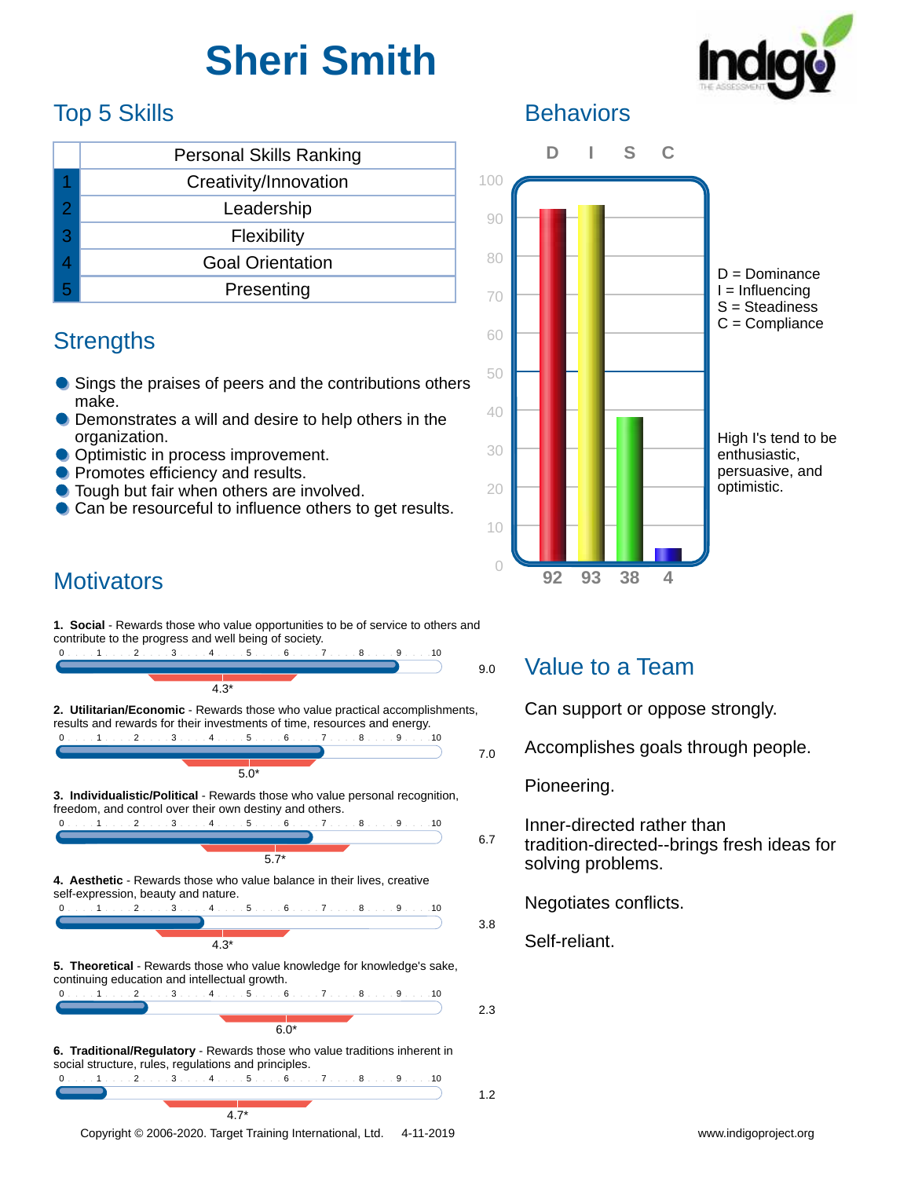# **Sheri Smith**



# Top 5 Skills

|   | <b>Personal Skills Ranking</b> |  |  |
|---|--------------------------------|--|--|
|   | Creativity/Innovation          |  |  |
| 2 | Leadership                     |  |  |
| 3 | Flexibility                    |  |  |
|   | <b>Goal Orientation</b>        |  |  |
|   | Presenting                     |  |  |

#### **Strengths**

- Sings the praises of peers and the contributions others make.
- **Demonstrates a will and desire to help others in the** organization.
- Optimistic in process improvement.
- **Promotes efficiency and results.**
- **Tough but fair when others are involved.**
- **Can be resourceful to influence others to get results.**

### **Motivators**

**1. Social** - Rewards those who value opportunities to be of service to others and contribute to the progress and well being of society.





0 . . . . 1 . . . . 2 . . . . 3 . . . . 4 . . . . 5 . . . . 6 . . . . 7 . . . . 8 . . . . 9 . . . . 10

 $\overline{5.7}^*$ 

**4. Aesthetic** - Rewards those who value balance in their lives, creative self-expression, beauty and nature.



**5. Theoretical** - Rewards those who value knowledge for knowledge's sake, continuing education and intellectual growth.



**6. Traditional/Regulatory** - Rewards those who value traditions inherent in social structure, rules, regulations and principles.

|  | 0 1 2 3 4 5 6 7 8 9 10 |  |  |  |  |
|--|------------------------|--|--|--|--|
|  |                        |  |  |  |  |

 $4.7*$ 

# **Behaviors**



### Value to a Team

Can support or oppose strongly.

Accomplishes goals through people.

Pioneering.

6.7 Inner-directed rather than tradition-directed--brings fresh ideas for solving problems.

Negotiates conflicts.

Self-reliant.

1.2

3.8

2.3

Copyright © 2006-2020. Target Training International, Ltd. 4-11-2019 Www.indigoproject.org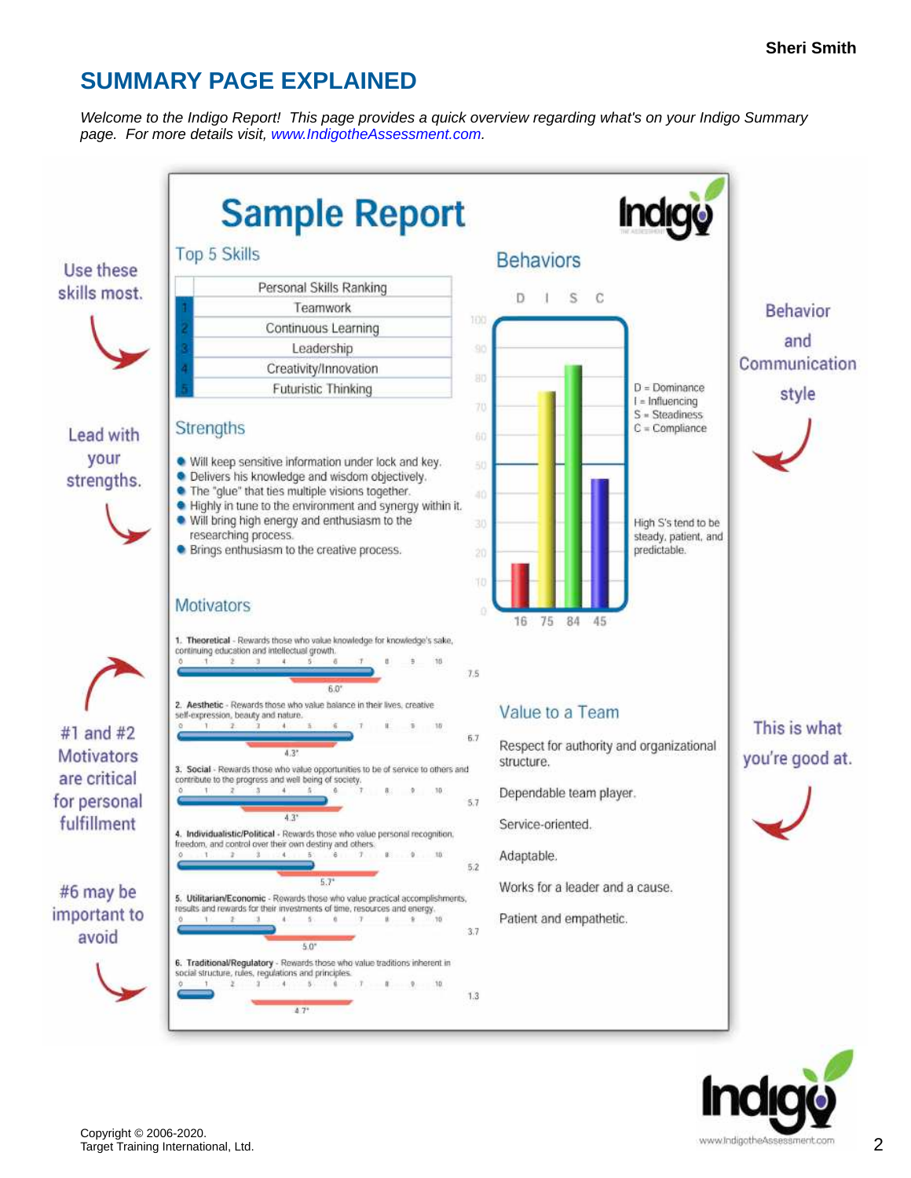# **SUMMARY PAGE EXPLAINED**

*Welcome to the Indigo Report! This page provides a quick overview regarding what's on your Indigo Summary page. For more details visit, [www.IndigotheAssessment.com.](http://www.IndigotheAssessment.com)*

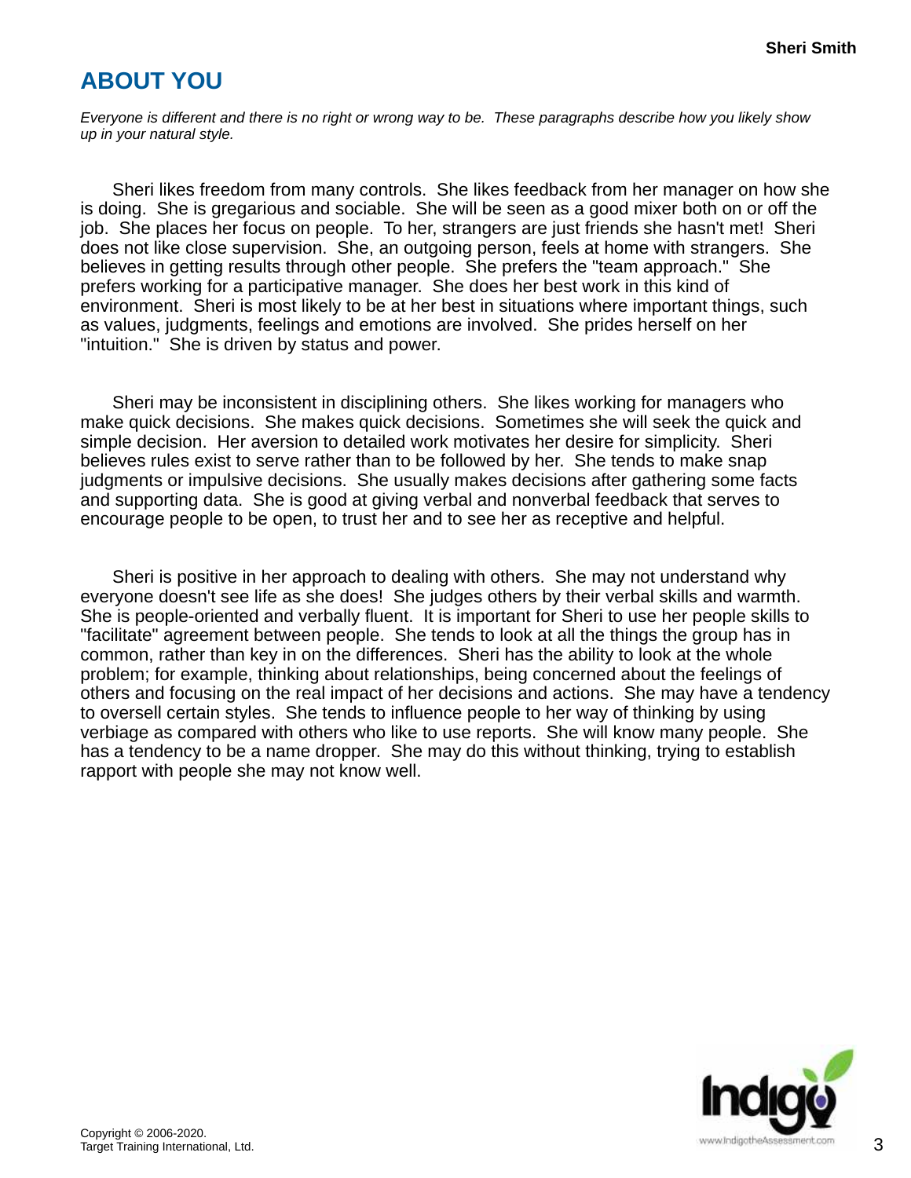# **ABOUT YOU**

*Everyone is different and there is no right or wrong way to be. These paragraphs describe how you likely show up in your natural style.*

Sheri likes freedom from many controls. She likes feedback from her manager on how she is doing. She is gregarious and sociable. She will be seen as a good mixer both on or off the job. She places her focus on people. To her, strangers are just friends she hasn't met! Sheri does not like close supervision. She, an outgoing person, feels at home with strangers. She believes in getting results through other people. She prefers the "team approach." She prefers working for a participative manager. She does her best work in this kind of environment. Sheri is most likely to be at her best in situations where important things, such as values, judgments, feelings and emotions are involved. She prides herself on her "intuition." She is driven by status and power.

Sheri may be inconsistent in disciplining others. She likes working for managers who make quick decisions. She makes quick decisions. Sometimes she will seek the quick and simple decision. Her aversion to detailed work motivates her desire for simplicity. Sheri believes rules exist to serve rather than to be followed by her. She tends to make snap judgments or impulsive decisions. She usually makes decisions after gathering some facts and supporting data. She is good at giving verbal and nonverbal feedback that serves to encourage people to be open, to trust her and to see her as receptive and helpful.

Sheri is positive in her approach to dealing with others. She may not understand why everyone doesn't see life as she does! She judges others by their verbal skills and warmth. She is people-oriented and verbally fluent. It is important for Sheri to use her people skills to "facilitate" agreement between people. She tends to look at all the things the group has in common, rather than key in on the differences. Sheri has the ability to look at the whole problem; for example, thinking about relationships, being concerned about the feelings of others and focusing on the real impact of her decisions and actions. She may have a tendency to oversell certain styles. She tends to influence people to her way of thinking by using verbiage as compared with others who like to use reports. She will know many people. She has a tendency to be a name dropper. She may do this without thinking, trying to establish rapport with people she may not know well.

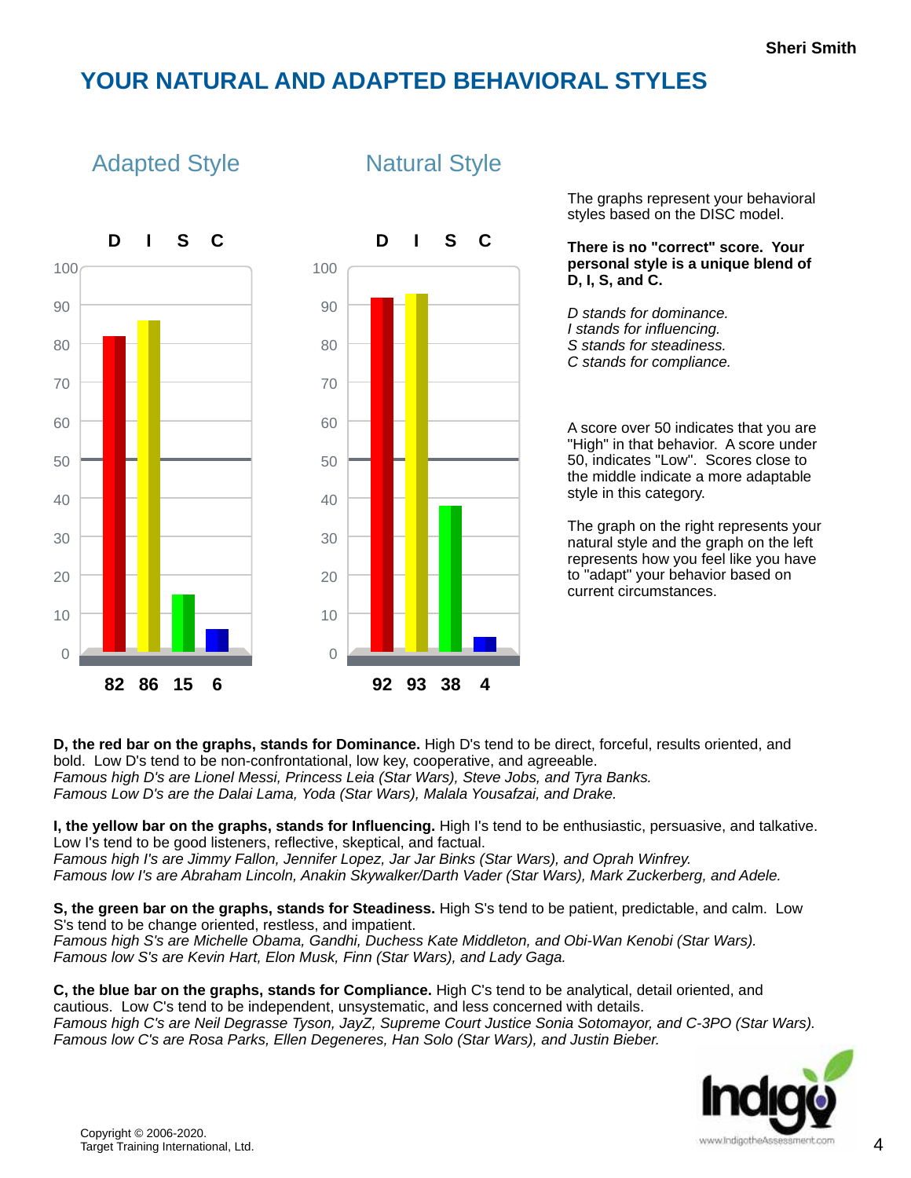#### **YOUR NATURAL AND ADAPTED BEHAVIORAL STYLES**

Natural Style



#### Adapted Style

The graphs represent your behavioral styles based on the DISC model.

**There is no "correct" score. Your personal style is a unique blend of D, I, S, and C.**

*D stands for dominance. I stands for influencing. S stands for steadiness. C stands for compliance.*

A score over 50 indicates that you are "High" in that behavior. A score under 50, indicates "Low". Scores close to the middle indicate a more adaptable style in this category.

The graph on the right represents your natural style and the graph on the left represents how you feel like you have to "adapt" your behavior based on current circumstances.

**D, the red bar on the graphs, stands for Dominance.** High D's tend to be direct, forceful, results oriented, and bold. Low D's tend to be non-confrontational, low key, cooperative, and agreeable. *Famous high D's are Lionel Messi, Princess Leia (Star Wars), Steve Jobs, and Tyra Banks. Famous Low D's are the Dalai Lama, Yoda (Star Wars), Malala Yousafzai, and Drake.*

**I, the yellow bar on the graphs, stands for Influencing.** High I's tend to be enthusiastic, persuasive, and talkative. Low I's tend to be good listeners, reflective, skeptical, and factual. *Famous high I's are Jimmy Fallon, Jennifer Lopez, Jar Jar Binks (Star Wars), and Oprah Winfrey.*

*Famous low I's are Abraham Lincoln, Anakin Skywalker/Darth Vader (Star Wars), Mark Zuckerberg, and Adele.*

**S, the green bar on the graphs, stands for Steadiness.** High S's tend to be patient, predictable, and calm. Low S's tend to be change oriented, restless, and impatient. *Famous high S's are Michelle Obama, Gandhi, Duchess Kate Middleton, and Obi-Wan Kenobi (Star Wars). Famous low S's are Kevin Hart, Elon Musk, Finn (Star Wars), and Lady Gaga.*

**C, the blue bar on the graphs, stands for Compliance.** High C's tend to be analytical, detail oriented, and cautious. Low C's tend to be independent, unsystematic, and less concerned with details. *Famous high C's are Neil Degrasse Tyson, JayZ, Supreme Court Justice Sonia Sotomayor, and C-3PO (Star Wars). Famous low C's are Rosa Parks, Ellen Degeneres, Han Solo (Star Wars), and Justin Bieber.*

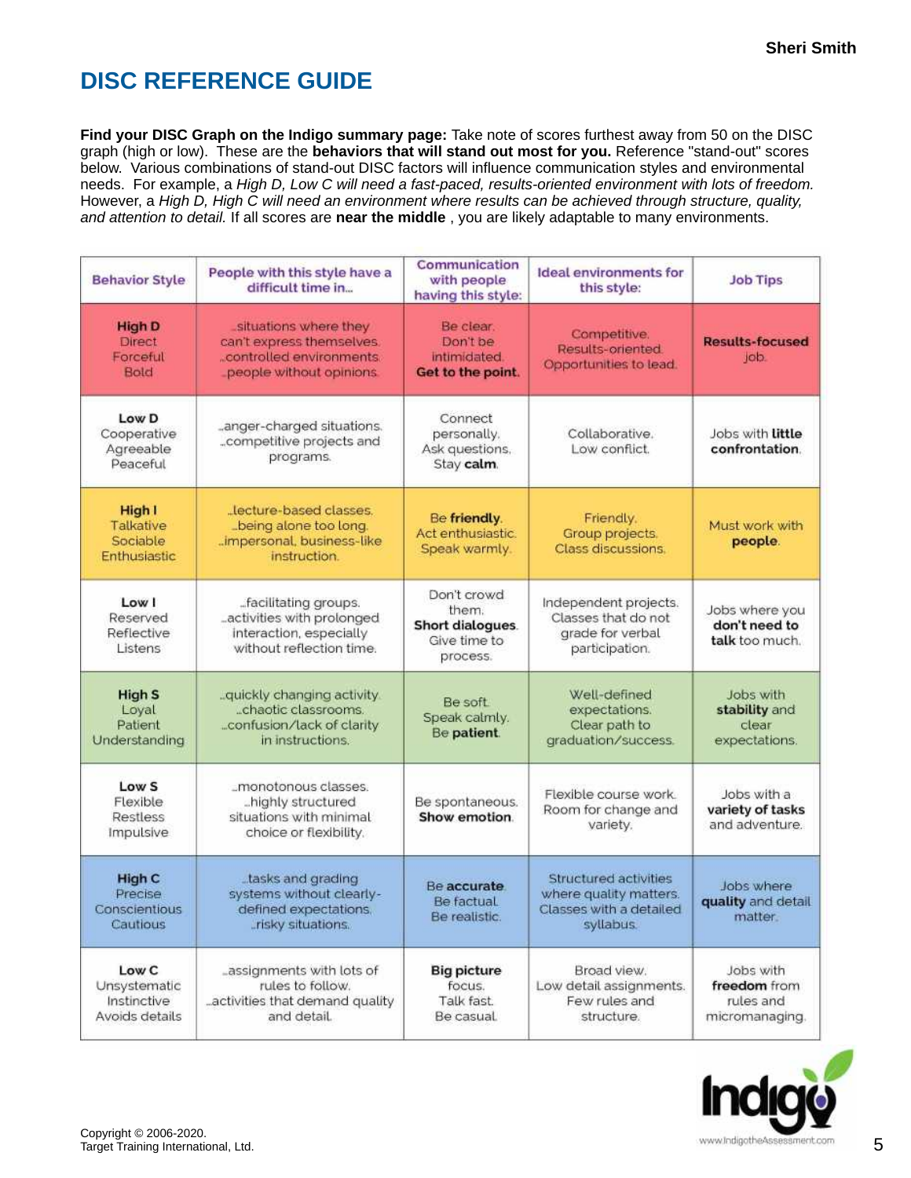# **DISC REFERENCE GUIDE**

**Find your DISC Graph on the Indigo summary page:** Take note of scores furthest away from 50 on the DISC graph (high or low). These are the **behaviors that will stand out most for you.** Reference "stand-out" scores below. Various combinations of stand-out DISC factors will influence communication styles and environmental needs. For example, a *High D, Low C will need a fast-paced, results-oriented environment with lots of freedom.* However, a *High D, High C will need an environment where results can be achieved through structure, quality, and attention to detail.* If all scores are **near the middle** , you are likely adaptable to many environments.

| <b>Behavior Style</b>                                  | People with this style have a<br>difficult time in                                                                                                                                                                                  | Communication<br>with people<br>having this style:                                                                                                | <b>Ideal environments for</b><br>this style:                                                   | <b>Job Tips</b>                                   |
|--------------------------------------------------------|-------------------------------------------------------------------------------------------------------------------------------------------------------------------------------------------------------------------------------------|---------------------------------------------------------------------------------------------------------------------------------------------------|------------------------------------------------------------------------------------------------|---------------------------------------------------|
| <b>High D</b><br><b>Direct</b><br>Forceful<br>Bold     | situations where they<br>can't express themselves.<br>.controlled environments.<br>people without opinions                                                                                                                          | Be clear.<br>Don't be<br>intimidated.<br>Get to the point.                                                                                        | Competitive.<br>Results-oriented<br>Opportunities to lead.                                     | <b>Results-focused</b><br>job.                    |
| Low D<br>Cooperative<br>Agreeable<br>Peaceful          | anger-charged situations.<br>competitive projects and<br>programs.                                                                                                                                                                  | Connect<br>personally.<br>Ask questions.<br>Stay calm.                                                                                            | Collaborative.<br>Low conflict.                                                                | Jobs with <b>Little</b><br>confrontation.         |
| High I<br>Talkative<br>Sociable<br>Enthusiastic        | Lecture-based classes.<br>_being alone too long.<br>impersonal, business-like<br>instruction.                                                                                                                                       | Be friendly.<br>Friendly.<br>Act enthusiastic.<br>Group projects.<br>people.<br>Speak warmly.<br>Class discussions.                               |                                                                                                | Must work with                                    |
| Low I<br>Reserved<br>Reflective<br>Listens             | facilitating groups.<br>activities with prolonged<br>interaction, especially<br>without reflection time.                                                                                                                            | Don't crowd<br>them.<br>Short dialogues.<br>Give time to<br>process.                                                                              | Independent projects.<br>Classes that do not<br>grade for verbal<br>participation.             | Jobs where you<br>don't need to<br>talk too much. |
| <b>High S</b><br>Loyal<br>Patient<br>Understanding     | Well-defined<br>quickly changing activity<br>Be soft<br>"chaotic classrooms.<br>expectations.<br>Speak calmly.<br>confusion/lack of clarity<br>Clear path to<br>clear<br>Be patient.<br>in instructions.<br>graduation/success.     |                                                                                                                                                   | Jobs with<br>stability and<br>expectations.                                                    |                                                   |
| Low <sub>S</sub><br>Flexible<br>Restless<br>Impulsive  | "monotonous classes.<br>highly structured<br>situations with minimal<br>choice or flexibility.                                                                                                                                      | Flexible course work.<br>Jobs with a<br>Be spontaneous.<br>variety of tasks<br>Room for change and<br>Show emotion.<br>and adventure.<br>variety. |                                                                                                |                                                   |
| <b>High C</b><br>Precise<br>Conscientious<br>Cautious  | tasks and grading<br>systems without clearly-<br>defined expectations.<br>_risky situations.                                                                                                                                        | Be accurate<br>Be factual<br>Be realistic.                                                                                                        | <b>Structured activities</b><br>where quality matters.<br>Classes with a detailed<br>syllabus. | Jobs where<br>quality and detail<br>matter.       |
| Low C<br>Unsystematic<br>Instinctive<br>Avoids details | _assignments with lots of<br>Broad view.<br><b>Big picture</b><br>rules to follow.<br>focus.<br>Low detail assignments.<br>activities that demand quality<br>Talk fast.<br>Few rules and<br>and detail.<br>Be casual.<br>structure. |                                                                                                                                                   | Jobs with<br>freedom from<br>rules and<br>micromanaging                                        |                                                   |

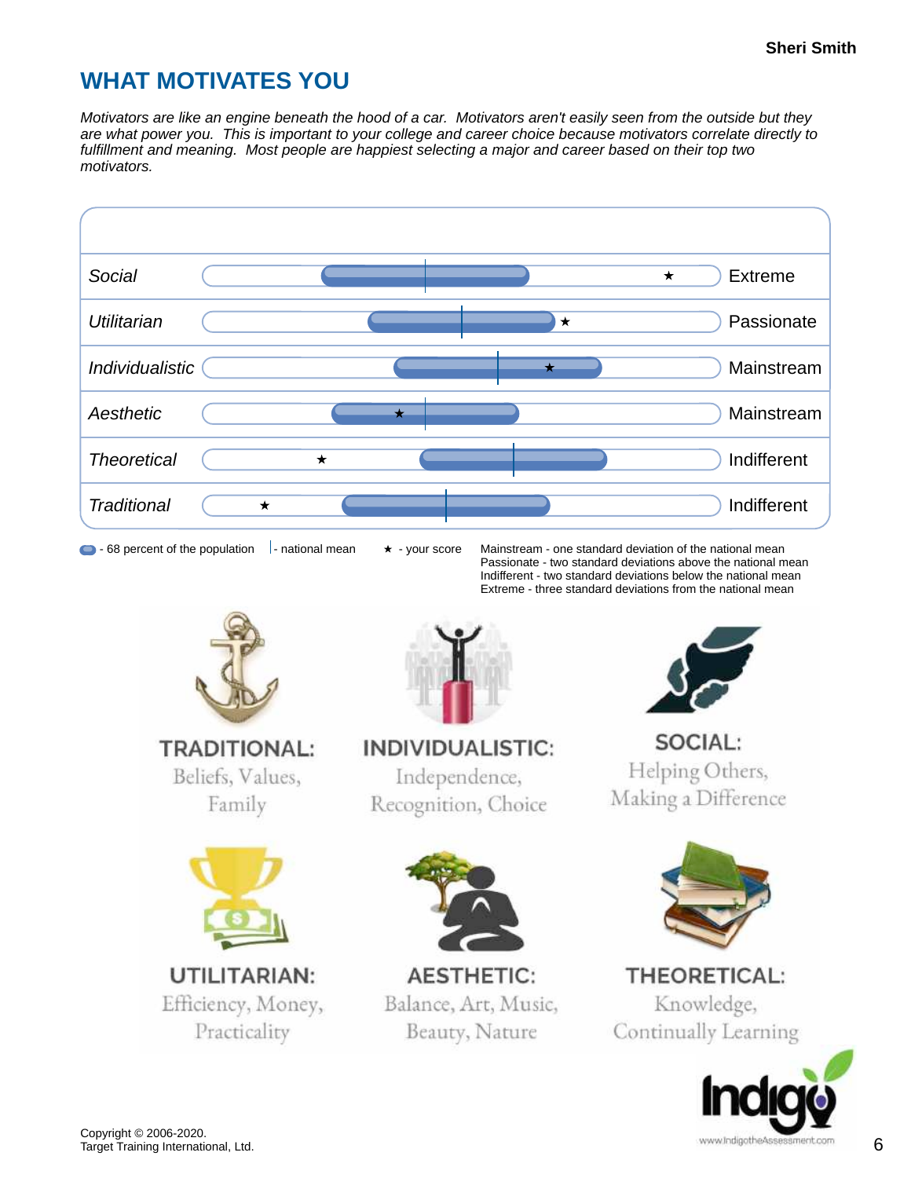### **WHAT MOTIVATES YOU**

*Motivators are like an engine beneath the hood of a car. Motivators aren't easily seen from the outside but they are what power you. This is important to your college and career choice because motivators correlate directly to fulfillment and meaning. Most people are happiest selecting a major and career based on their top two motivators.*



 $\bullet$  - 68 percent of the population  $\left| \cdot \right|$  - national mean  $\star$  - your score Mainstream - one standard deviation of the national mean Passionate - two standard deviations above the national mean Indifferent - two standard deviations below the national mean Extreme - three standard deviations from the national mean



Beliefs, Values, Family



Efficiency, Money, Practicality



**INDIVIDUALISTIC:** Independence, Recognition, Choice



**AESTHETIC:** Balance, Art, Music, Beauty, Nature



SOCIAL: Helping Others, Making a Difference



**THEORETICAL:** Knowledge, Continually Learning

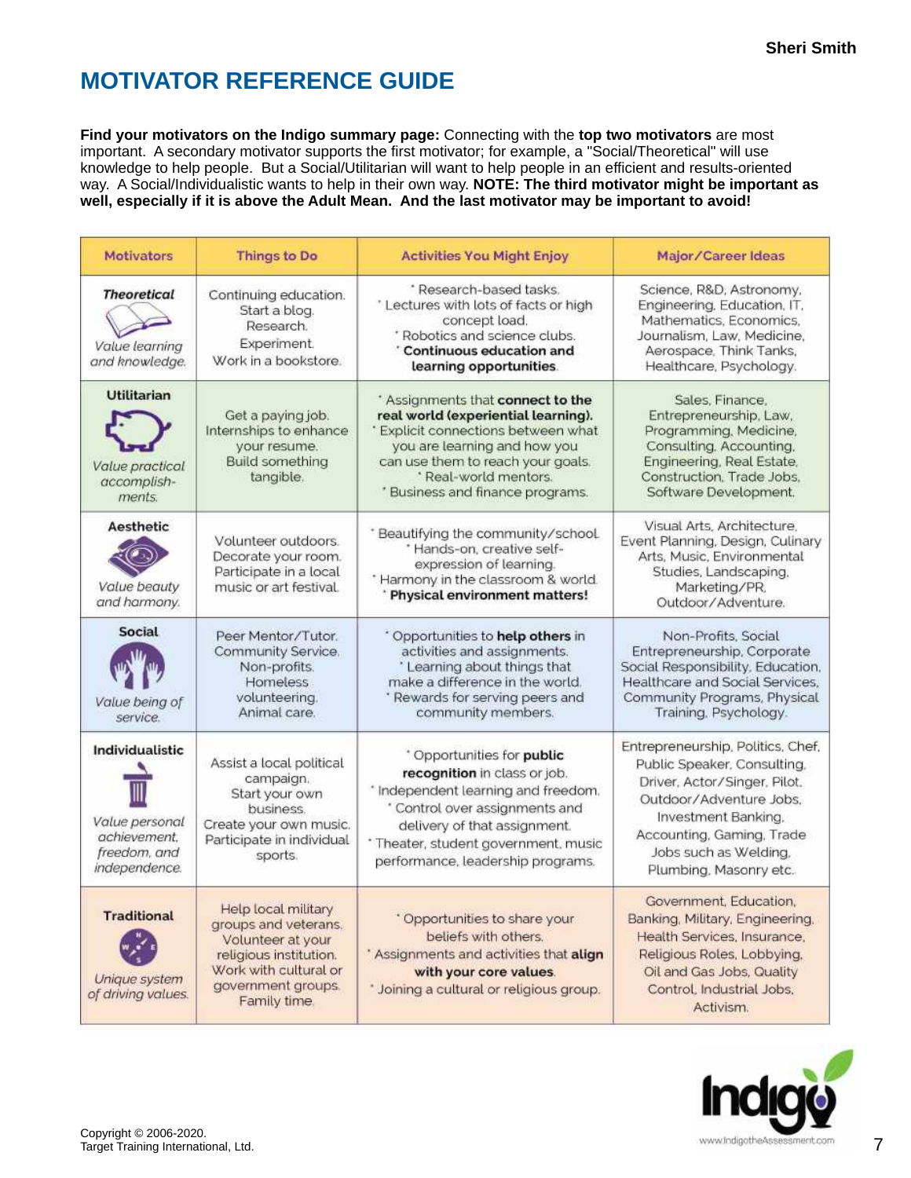# **MOTIVATOR REFERENCE GUIDE**

**Find your motivators on the Indigo summary page:** Connecting with the **top two motivators** are most important. A secondary motivator supports the first motivator; for example, a "Social/Theoretical" will use knowledge to help people. But a Social/Utilitarian will want to help people in an efficient and results-oriented way. A Social/Individualistic wants to help in their own way. **NOTE: The third motivator might be important as well, especially if it is above the Adult Mean. And the last motivator may be important to avoid!**

| <b>Motivators</b>                                                                         | Things to Do                                                                                                                                              | <b>Activities You Might Enjoy</b>                                                                                                                                                                                                                 | Major/Career Ideas                                                                                                                                                                                                                 |  |
|-------------------------------------------------------------------------------------------|-----------------------------------------------------------------------------------------------------------------------------------------------------------|---------------------------------------------------------------------------------------------------------------------------------------------------------------------------------------------------------------------------------------------------|------------------------------------------------------------------------------------------------------------------------------------------------------------------------------------------------------------------------------------|--|
| <b>Theoretical</b><br>Value learning<br>and knowledge.                                    | Continuing education.<br>Start a blog.<br>Research.<br>Experiment.<br>Work in a bookstore.                                                                | * Research-based tasks.<br>' Lectures with lots of facts or high<br>concept load.<br>* Robotics and science clubs.<br>' Continuous education and<br>learning opportunities.                                                                       | Science, R&D, Astronomy,<br>Engineering, Education, IT.<br>Mathematics, Economics,<br>Journalism, Law, Medicine,<br>Aerospace, Think Tanks,<br>Healthcare, Psychology.                                                             |  |
| <b>Utilitarian</b><br>Value practical<br>accomplish-<br>ments.                            | Get a paying job.<br>Internships to enhance<br>your resume.<br><b>Build something</b><br>tangible.                                                        | * Assignments that connect to the<br>real world (experiential learning).<br>* Explicit connections between what<br>you are learning and how you<br>can use them to reach your goals.<br>* Real-world mentors.<br>* Business and finance programs. | Sales, Finance,<br>Entrepreneurship, Law,<br>Programming, Medicine,<br>Consulting, Accounting,<br>Engineering, Real Estate,<br>Construction, Trade Jobs.<br>Software Development.                                                  |  |
| Aesthetic<br>Value beauty<br>and harmony.                                                 | Volunteer outdoors.<br>Decorate your room.<br>Participate in a local<br>music or art festival.                                                            | * Beautifying the community/school.<br>* Hands-on, creative self-<br>expression of learning.<br>* Harmony in the classroom & world.<br>* Physical environment matters!                                                                            | Visual Arts, Architecture.<br>Event Planning, Design, Culinary<br>Arts, Music, Environmental<br>Studies, Landscaping,<br>Marketing/PR,<br>Outdoor/Adventure.                                                                       |  |
| Social<br>Value being of<br>service.                                                      | Peer Mentor/Tutor.<br>Community Service.<br>Non-profits.<br><b>Homeless</b><br>volunteering.<br>Animal care.                                              | * Opportunities to help others in<br>activities and assignments.<br>' Learning about things that<br>make a difference in the world.<br>' Rewards for serving peers and<br>community members.                                                      | Non-Profits, Social<br>Entrepreneurship, Corporate<br>Social Responsibility, Education,<br>Healthcare and Social Services.<br>Community Programs, Physical<br>Training, Psychology.                                                |  |
| <b>Individualistic</b><br>Value personal<br>achievement.<br>freedom, and<br>independence. | Assist a local political<br>campaign.<br>Start your own<br>business.<br>Create your own music.<br>Participate in individual<br>sports.                    | * Opportunities for public<br>recognition in class or job.<br>* Independent learning and freedom.<br>* Control over assignments and<br>delivery of that assignment.<br>* Theater, student government, music<br>performance, leadership programs.  | Entrepreneurship, Politics, Chef,<br>Public Speaker, Consulting,<br>Driver, Actor/Singer, Pilot.<br>Outdoor/Adventure Jobs.<br>Investment Banking,<br>Accounting, Gaming, Trade<br>Jobs such as Welding,<br>Plumbing, Masonry etc. |  |
| <b>Traditional</b><br>Unique system<br>of driving values.                                 | Help local military<br>groups and veterans.<br>Volunteer at your<br>religious institution.<br>Work with cultural or<br>government groups.<br>Family time. | * Opportunities to share your<br>beliefs with others.<br>* Assignments and activities that align<br>with your core values.<br>* Joining a cultural or religious group.                                                                            | Government, Education<br>Banking, Military, Engineering,<br>Health Services, Insurance,<br>Religious Roles, Lobbying,<br>Oil and Gas Jobs, Quality<br>Control, Industrial Jobs,<br>Activism.                                       |  |

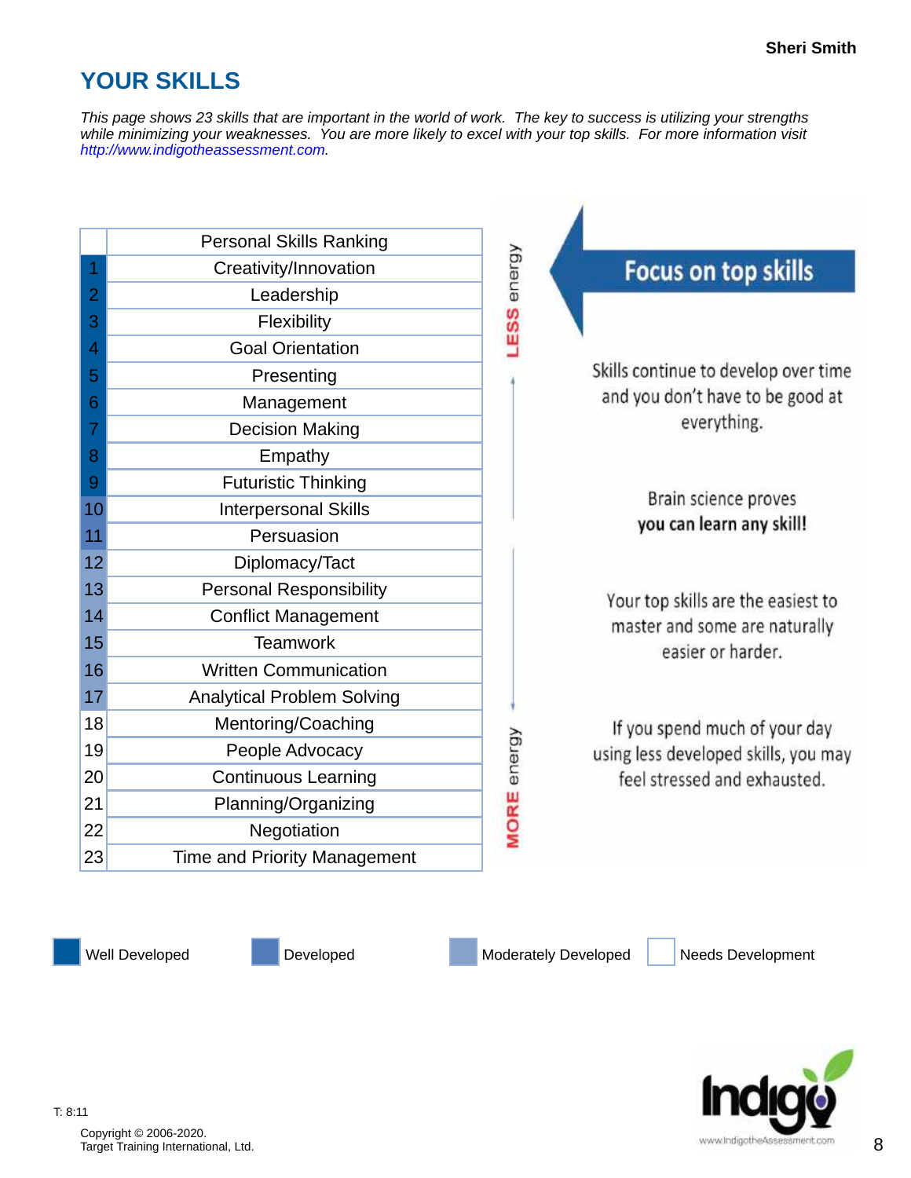# **YOUR SKILLS**

*This page shows 23 skills that are important in the world of work. The key to success is utilizing your strengths while minimizing your weaknesses. You are more likely to excel with your top skills. For more information visit [http://www.indigotheassessment.com.](http://www.indigotheassessment.com)*

| <b>Personal Skills Ranking</b>            |                                      |
|-------------------------------------------|--------------------------------------|
| Creativity/Innovation<br>1                | <b>Focus on top skills</b>           |
| $\overline{2}$<br>Leadership              |                                      |
| 3<br>Flexibility                          | LESS energy                          |
| <b>Goal Orientation</b><br>4              |                                      |
| 5<br>Presenting                           | Skills continue to develop over time |
| 6<br>Management                           | and you don't have to be good at     |
| 7<br><b>Decision Making</b>               | everything.                          |
| Empathy<br>8                              |                                      |
| <b>Futuristic Thinking</b><br>9           |                                      |
| <b>Interpersonal Skills</b><br>10         | Brain science proves                 |
| Persuasion<br>11                          | you can learn any skill!             |
| 12<br>Diplomacy/Tact                      |                                      |
| 13<br><b>Personal Responsibility</b>      | Your top skills are the easiest to   |
| 14<br><b>Conflict Management</b>          | master and some are naturally        |
| <b>Teamwork</b><br>15                     | easier or harder.                    |
| 16<br><b>Written Communication</b>        |                                      |
| 17<br><b>Analytical Problem Solving</b>   |                                      |
| 18<br>Mentoring/Coaching                  | If you spend much of your day        |
| 19<br>People Advocacy                     | using less developed skills, you may |
| 20<br><b>Continuous Learning</b>          | feel stressed and exhausted.         |
| 21<br>Planning/Organizing                 |                                      |
| 22<br>Negotiation                         | <b>MORE</b> energy                   |
| 23<br><b>Time and Priority Management</b> |                                      |

Well Developed Developed Developed Moderately Developed Needs Development



Copyright © 2006-2020. Copyright © 2006-2020.<br>Target Training International, Ltd. 88. March 2007. The contract of the contract of the contract of the contract of the contract of the contract of the contract of the contract of the contract of the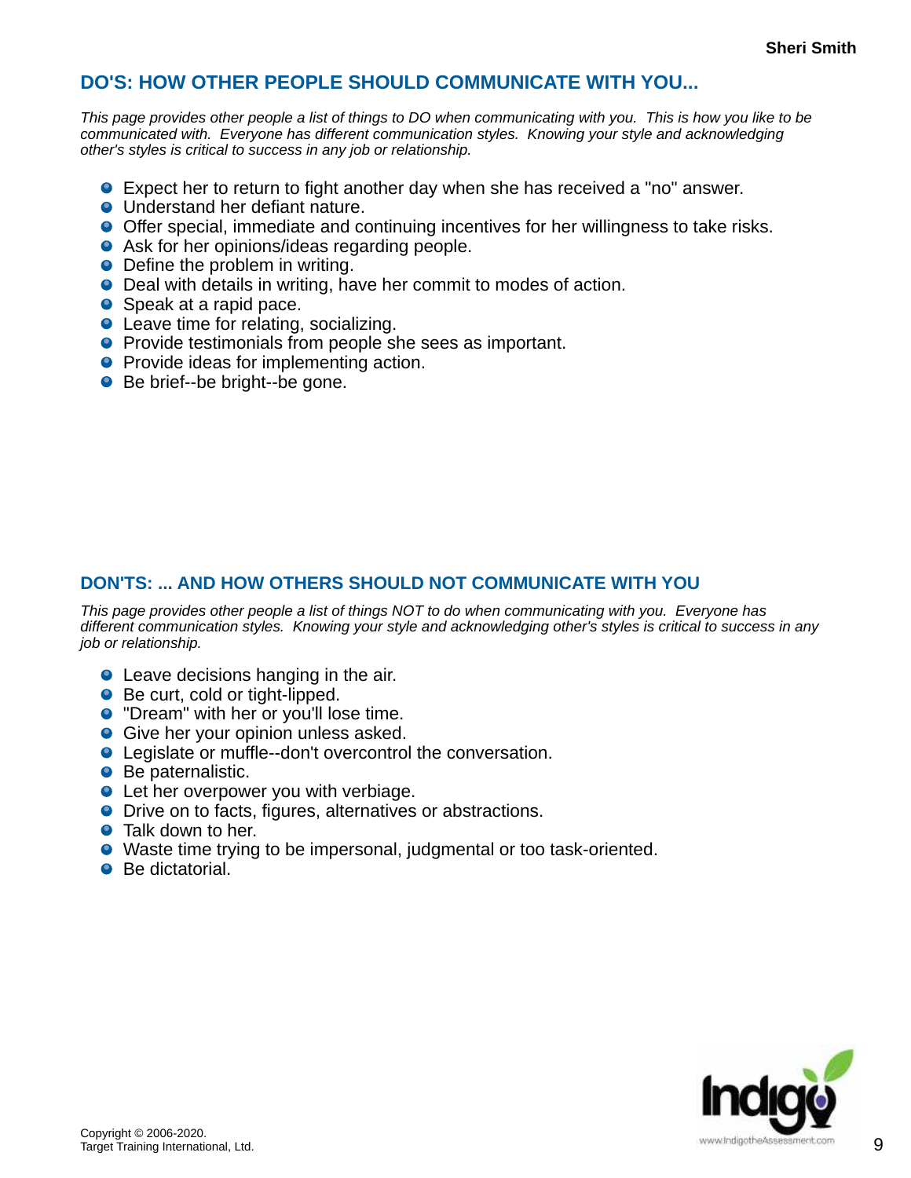#### **DO'S: HOW OTHER PEOPLE SHOULD COMMUNICATE WITH YOU...**

*This page provides other people a list of things to DO when communicating with you. This is how you like to be communicated with. Everyone has different communication styles. Knowing your style and acknowledging other's styles is critical to success in any job or relationship.*

- Expect her to return to fight another day when she has received a "no" answer.
- **O** Understand her defiant nature.
- Offer special, immediate and continuing incentives for her willingness to take risks.
- **•** Ask for her opinions/ideas regarding people.
- Define the problem in writing.
- Deal with details in writing, have her commit to modes of action.
- Speak at a rapid pace.
- Leave time for relating, socializing.
- **P** Provide testimonials from people she sees as important.
- **•** Provide ideas for implementing action.
- Be brief--be bright--be gone.

#### **DON'TS: ... AND HOW OTHERS SHOULD NOT COMMUNICATE WITH YOU**

*This page provides other people a list of things NOT to do when communicating with you. Everyone has different communication styles. Knowing your style and acknowledging other's styles is critical to success in any job or relationship.*

- **•** Leave decisions hanging in the air.
- Be curt, cold or tight-lipped.
- **•** "Dream" with her or you'll lose time.
- **Give her your opinion unless asked.**
- Legislate or muffle--don't overcontrol the conversation.
- Be paternalistic.
- **•** Let her overpower you with verbiage.
- **O** Drive on to facts, figures, alternatives or abstractions.
- Talk down to her.
- Waste time trying to be impersonal, judgmental or too task-oriented.
- Be dictatorial.

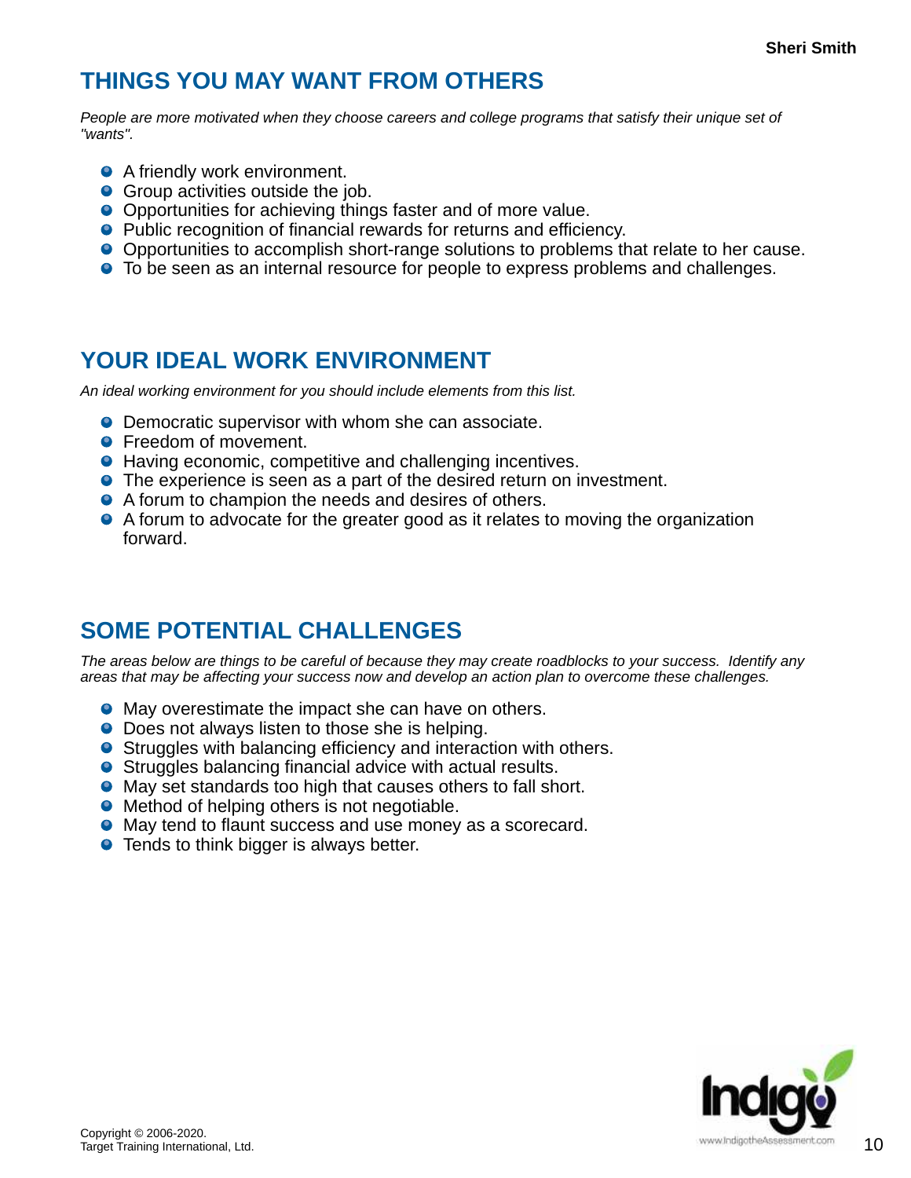### **THINGS YOU MAY WANT FROM OTHERS**

*People are more motivated when they choose careers and college programs that satisfy their unique set of "wants".*

- **A** friendly work environment.
- **•** Group activities outside the job.
- Opportunities for achieving things faster and of more value.
- Public recognition of financial rewards for returns and efficiency.
- Opportunities to accomplish short-range solutions to problems that relate to her cause.
- **•** To be seen as an internal resource for people to express problems and challenges.

### **YOUR IDEAL WORK ENVIRONMENT**

*An ideal working environment for you should include elements from this list.*

- **O** Democratic supervisor with whom she can associate.
- **•** Freedom of movement.
- Having economic, competitive and challenging incentives.
- **•** The experience is seen as a part of the desired return on investment.
- A forum to champion the needs and desires of others.
- A forum to advocate for the greater good as it relates to moving the organization forward.

# **SOME POTENTIAL CHALLENGES**

*The areas below are things to be careful of because they may create roadblocks to your success. Identify any areas that may be affecting your success now and develop an action plan to overcome these challenges.*

- **May overestimate the impact she can have on others.**
- Does not always listen to those she is helping.
- **•** Struggles with balancing efficiency and interaction with others.
- Struggles balancing financial advice with actual results.
- May set standards too high that causes others to fall short.
- Method of helping others is not negotiable.
- May tend to flaunt success and use money as a scorecard.
- **•** Tends to think bigger is always better.

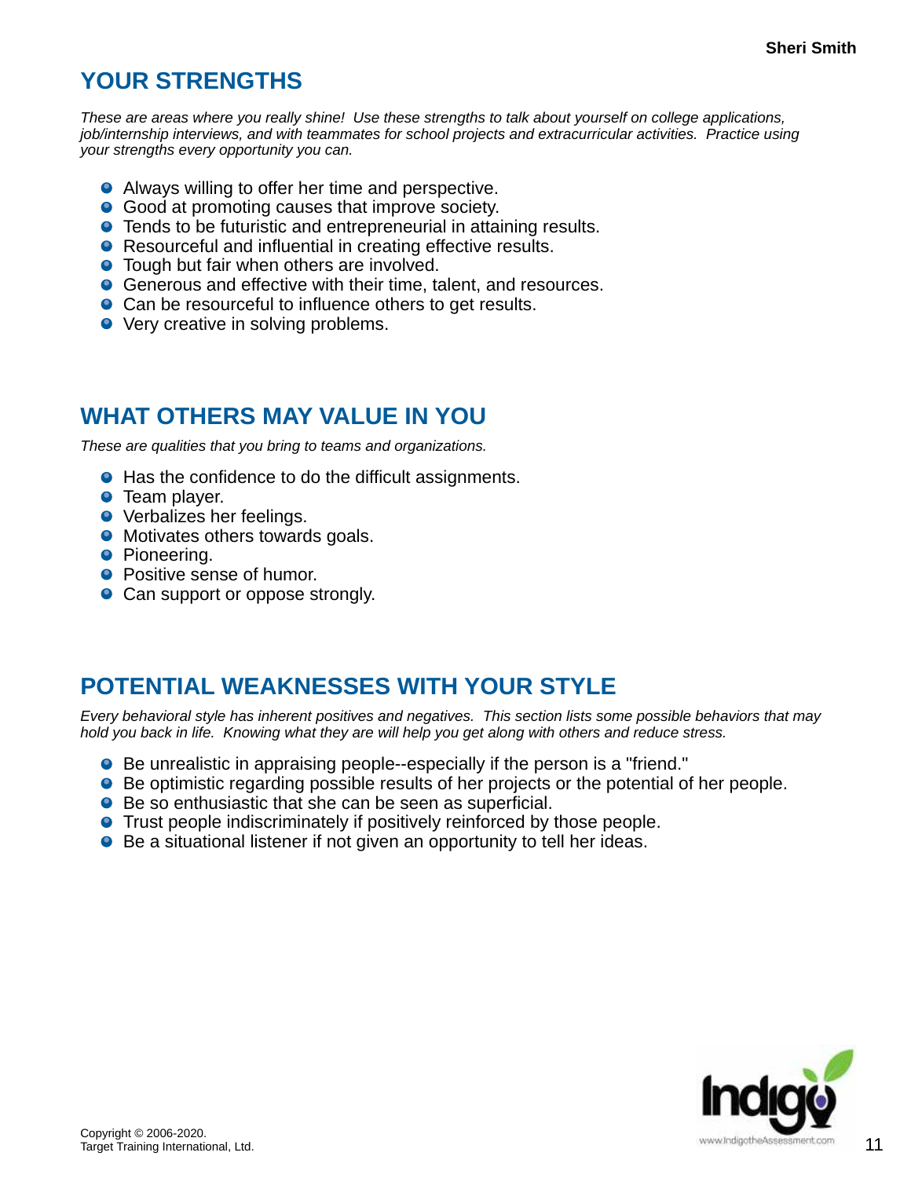#### **YOUR STRENGTHS**

*These are areas where you really shine! Use these strengths to talk about yourself on college applications, job/internship interviews, and with teammates for school projects and extracurricular activities. Practice using your strengths every opportunity you can.*

- **•** Always willing to offer her time and perspective.
- **Good at promoting causes that improve society.**
- **•** Tends to be futuristic and entrepreneurial in attaining results.
- Resourceful and influential in creating effective results.
- **•** Tough but fair when others are involved.
- **Generous and effective with their time, talent, and resources.**
- Can be resourceful to influence others to get results.
- Very creative in solving problems.

#### **WHAT OTHERS MAY VALUE IN YOU**

*These are qualities that you bring to teams and organizations.*

- Has the confidence to do the difficult assignments.
- **•** Team player.
- **•** Verbalizes her feelings.
- Motivates others towards goals.
- **•** Pioneering.
- **Positive sense of humor.**
- Can support or oppose strongly.

### **POTENTIAL WEAKNESSES WITH YOUR STYLE**

*Every behavioral style has inherent positives and negatives. This section lists some possible behaviors that may hold you back in life. Knowing what they are will help you get along with others and reduce stress.*

- Be unrealistic in appraising people--especially if the person is a "friend."
- **Be optimistic regarding possible results of her projects or the potential of her people.**
- Be so enthusiastic that she can be seen as superficial.
- **•** Trust people indiscriminately if positively reinforced by those people.
- Be a situational listener if not given an opportunity to tell her ideas.

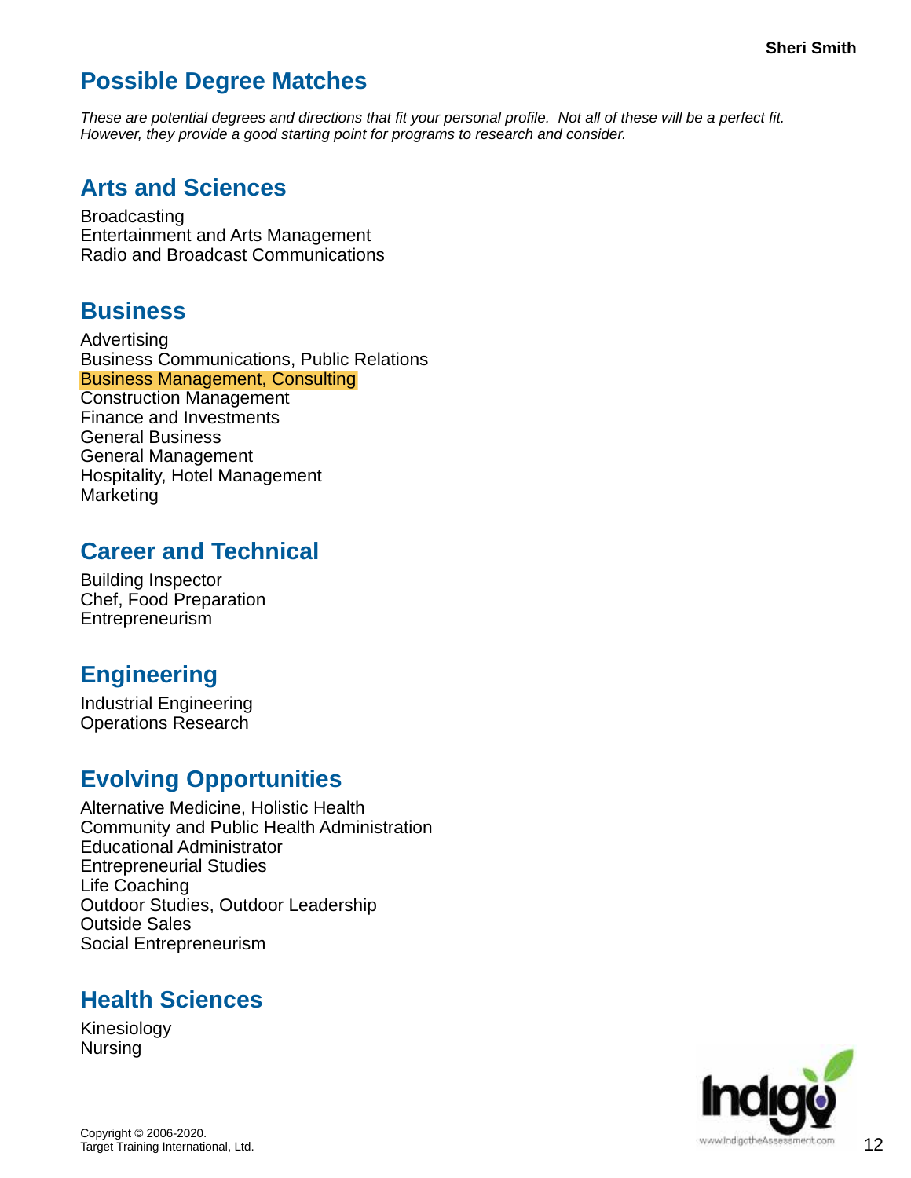### **Possible Degree Matches**

*These are potential degrees and directions that fit your personal profile. Not all of these will be a perfect fit. However, they provide a good starting point for programs to research and consider.*

#### **Arts and Sciences**

**Broadcasting** Entertainment and Arts Management Radio and Broadcast Communications

#### **Business**

Advertising Business Communications, Public Relations Business Management, Consulting Construction Management Finance and Investments General Business General Management Hospitality, Hotel Management **Marketing** 

#### **Career and Technical**

Building Inspector Chef, Food Preparation Entrepreneurism

### **Engineering**

Industrial Engineering Operations Research

#### **Evolving Opportunities**

Alternative Medicine, Holistic Health Community and Public Health Administration Educational Administrator Entrepreneurial Studies Life Coaching Outdoor Studies, Outdoor Leadership Outside Sales Social Entrepreneurism

#### **Health Sciences**

Kinesiology Nursing

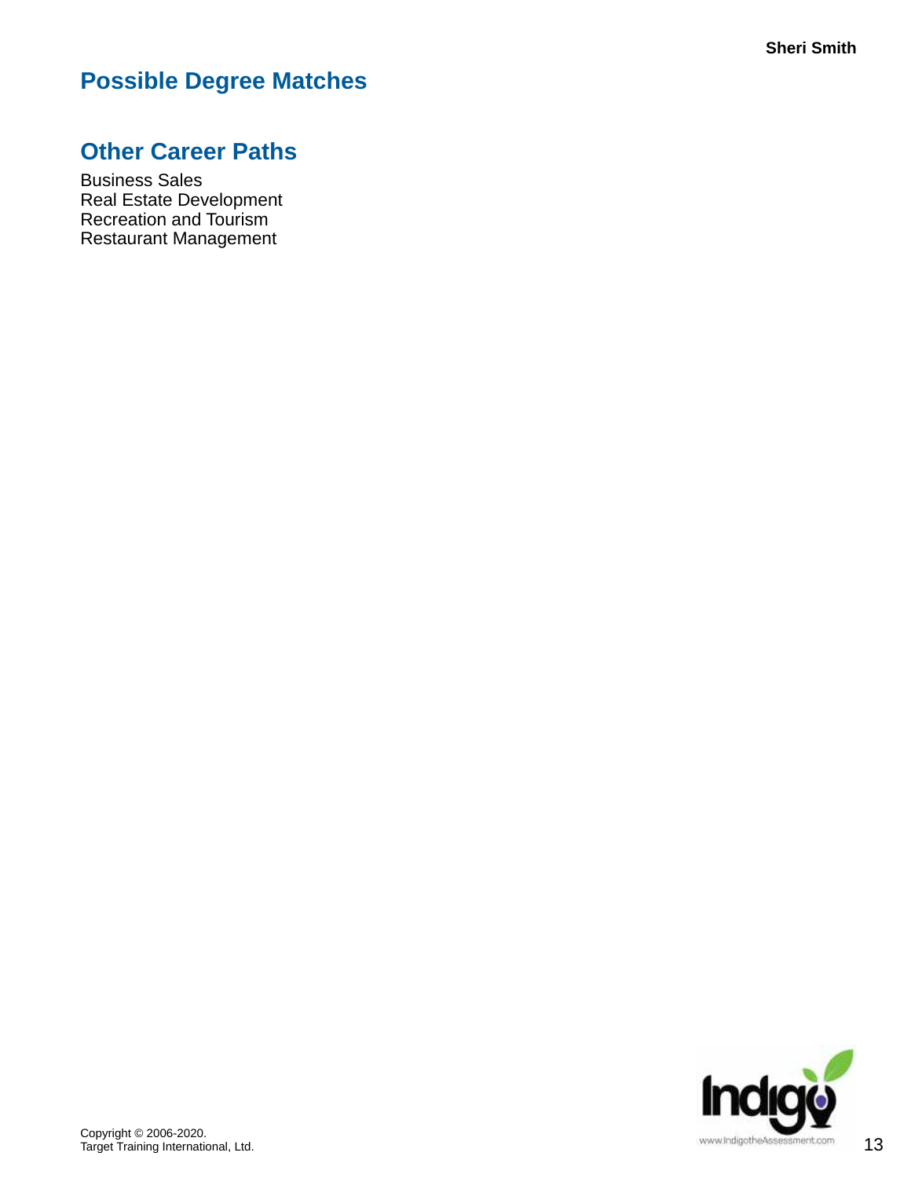# **Possible Degree Matches**

#### **Other Career Paths**

Business Sales Real Estate Development Recreation and Tourism Restaurant Management

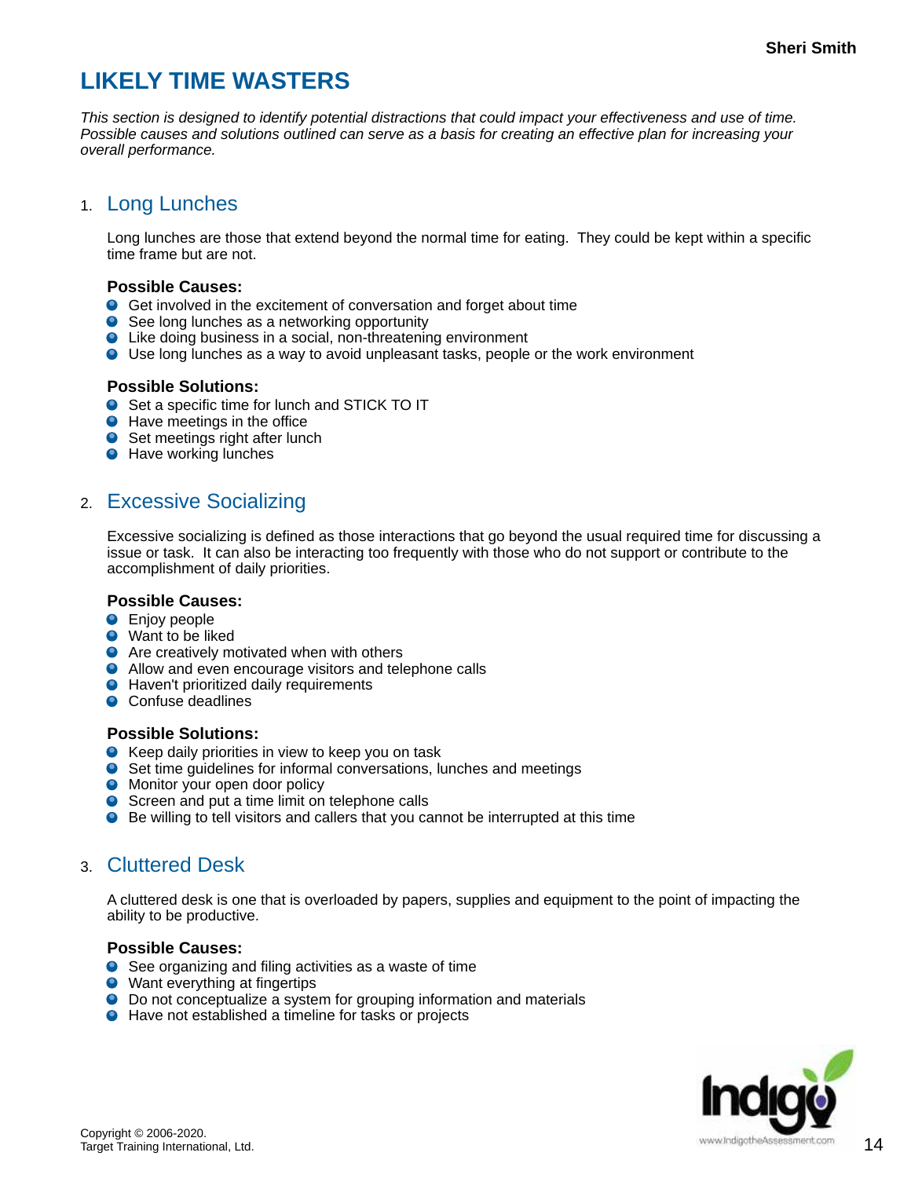### **LIKELY TIME WASTERS**

*This section is designed to identify potential distractions that could impact your effectiveness and use of time. Possible causes and solutions outlined can serve as a basis for creating an effective plan for increasing your overall performance.*

#### 1. Long Lunches

Long lunches are those that extend beyond the normal time for eating. They could be kept within a specific time frame but are not.

#### **Possible Causes:**

- Get involved in the excitement of conversation and forget about time
- $\bullet$ See long lunches as a networking opportunity
- Like doing business in a social, non-threatening environment
- Use long lunches as a way to avoid unpleasant tasks, people or the work environment

#### **Possible Solutions:**

- Set a specific time for lunch and STICK TO IT
- **O** Have meetings in the office
- Set meetings right after lunch
- **O** Have working lunches

#### 2. Excessive Socializing

Excessive socializing is defined as those interactions that go beyond the usual required time for discussing a issue or task. It can also be interacting too frequently with those who do not support or contribute to the accomplishment of daily priorities.

#### **Possible Causes:**

- **O** Enjoy people
- Want to be liked
- Are creatively motivated when with others
- **•** Allow and even encourage visitors and telephone calls
- **O** Haven't prioritized daily requirements
- Confuse deadlines

#### **Possible Solutions:**

- **O** Keep daily priorities in view to keep you on task
- Set time guidelines for informal conversations, lunches and meetings
- **O** Monitor your open door policy
- Screen and put a time limit on telephone calls
- Be willing to tell visitors and callers that you cannot be interrupted at this time

#### 3. Cluttered Desk

A cluttered desk is one that is overloaded by papers, supplies and equipment to the point of impacting the ability to be productive.

#### **Possible Causes:**

- See organizing and filing activities as a waste of time
- Want everything at fingertips
- **O** Do not conceptualize a system for grouping information and materials
- Have not established a timeline for tasks or projects

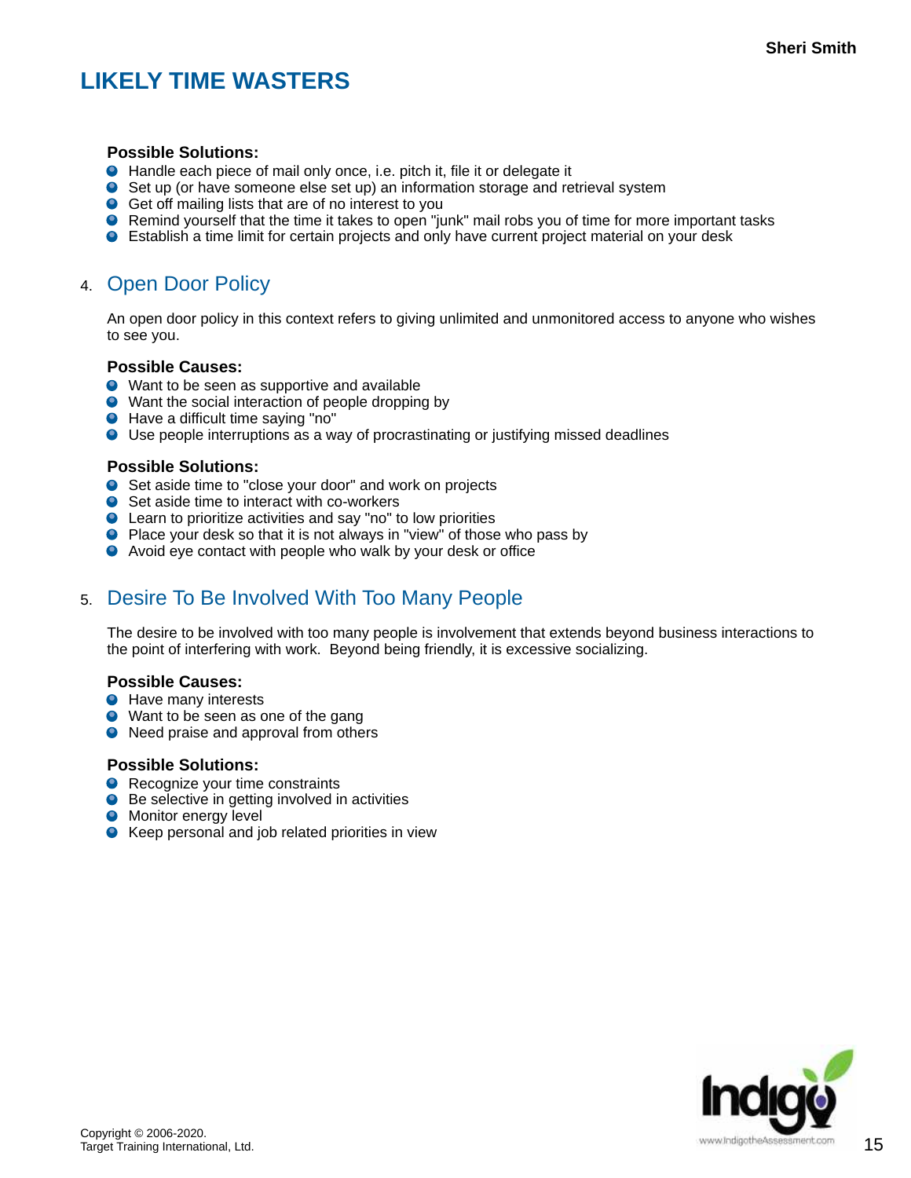# **LIKELY TIME WASTERS**

#### **Possible Solutions:**

- Handle each piece of mail only once, i.e. pitch it, file it or delegate it
- Set up (or have someone else set up) an information storage and retrieval system
- Get off mailing lists that are of no interest to you
- **O** Remind yourself that the time it takes to open "junk" mail robs you of time for more important tasks
- Establish a time limit for certain projects and only have current project material on your desk

#### 4. Open Door Policy

An open door policy in this context refers to giving unlimited and unmonitored access to anyone who wishes to see you.

#### **Possible Causes:**

- Want to be seen as supportive and available
- Want the social interaction of people dropping by
- **•** Have a difficult time saying "no"
- Use people interruptions as a way of procrastinating or justifying missed deadlines

#### **Possible Solutions:**

- Set aside time to "close your door" and work on projects
- **●** Set aside time to interact with co-workers
- Learn to prioritize activities and say "no" to low priorities
- **P** Place your desk so that it is not always in "view" of those who pass by
- Avoid eye contact with people who walk by your desk or office

#### 5. Desire To Be Involved With Too Many People

The desire to be involved with too many people is involvement that extends beyond business interactions to the point of interfering with work. Beyond being friendly, it is excessive socializing.

#### **Possible Causes:**

- **•** Have many interests
- Want to be seen as one of the gang
- Need praise and approval from others

#### **Possible Solutions:**

- **•** Recognize your time constraints
- Be selective in getting involved in activities
- **O** Monitor energy level
- Keep personal and job related priorities in view